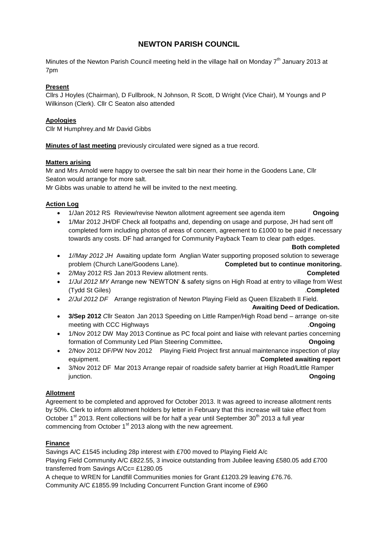# **NEWTON PARISH COUNCIL**

Minutes of the Newton Parish Council meeting held in the village hall on Monday 7<sup>th</sup> January 2013 at 7pm

## **Present**

Cllrs J Hoyles (Chairman), D Fullbrook, N Johnson, R Scott, D Wright (Vice Chair), M Youngs and P Wilkinson (Clerk). Cllr C Seaton also attended

## **Apologies**

Cllr M Humphrey.and Mr David Gibbs

**Minutes of last meeting** previously circulated were signed as a true record.

## **Matters arising**

Mr and Mrs Arnold were happy to oversee the salt bin near their home in the Goodens Lane, Cllr Seaton would arrange for more salt.

Mr Gibbs was unable to attend he will be invited to the next meeting.

## **Action Log**

- 1/Jan 2012 RS Review/revise Newton allotment agreement see agenda item **Ongoing**
- 1/Mar 2012 JH/DF Check all footpaths and, depending on usage and purpose, JH had sent off completed form including photos of areas of concern, agreement to £1000 to be paid if necessary towards any costs. DF had arranged for Community Payback Team to clear path edges.

```
 Both completed
```
- *1//May 2012 JH* Awaiting update form Anglian Water supporting proposed solution to sewerage problem (Church Lane/Goodens Lane). **Completed but to continue monitoring.**
- 2/May 2012 RS Jan 2013 Review allotment rents. **Completed**
- *1/Jul 2012 MY* Arrange new 'NEWTON' & safety signs on High Road at entry to village from West (Tydd St Giles) .**Completed**
- *2/Jul 2012 DF* Arrange registration of Newton Playing Field as Queen Elizabeth II Field.

**Awaiting Deed of Dedication.**

- **3/Sep 2012** *C*llr Seaton Jan 2013 Speeding on Little Ramper/High Road bend arrange on-site meeting with CCC Highways .**Ongoing**
- 1/Nov 2012 DW May 2013 Continue as PC focal point and liaise with relevant parties concerning formation of Community Led Plan Steering Committee**. Ongoing**
- 2/Nov 2012 DF/PW Nov 2012 Playing Field Project first annual maintenance inspection of play equipment. **Completed awaiting report**
- 3/Nov 2012 DF Mar 2013 Arrange repair of roadside safety barrier at High Road/Little Ramper junction. **Ongoing**

## **Allotment**

Agreement to be completed and approved for October 2013. It was agreed to increase allotment rents by 50%. Clerk to inform allotment holders by letter in February that this increase will take effect from October 1<sup>st</sup> 2013. Rent collections will be for half a year until September 30<sup>th</sup> 2013 a full year commencing from October  $1<sup>st</sup>$  2013 along with the new agreement.

## **Finance**

Savings A/C £1545 including 28p interest with £700 moved to Playing Field A/c Playing Field Community A/C £822.55, 3 invoice outstanding from Jubilee leaving £580.05 add £700 transferred from Savings A/Cc= £1280.05

A cheque to WREN for Landfill Communities monies for Grant £1203.29 leaving £76.76. Community A/C £1855.99 Including Concurrent Function Grant income of £960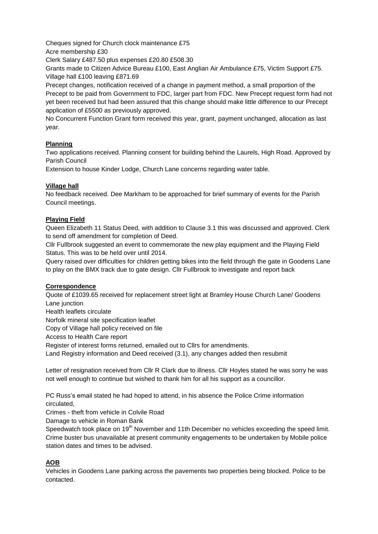Cheques signed for Church clock maintenance £75

Acre membership £30

Clerk Salary £487.50 plus expenses £20.80 £508.30

Grants made to Citizen Advice Bureau £100, East Anglian Air Ambulance £75, Victim Support £75. Village hall £100 leaving £871.69

Precept changes, notification received of a change in payment method, a small proportion of the Precept to be paid from Government to FDC, larger part from FDC. New Precept request form had not yet been received but had been assured that this change should make little difference to our Precept application of £5500 as previously approved.

No Concurrent Function Grant form received this year, grant, payment unchanged, allocation as last year.

## **Planning**

Two applications received. Planning consent for building behind the Laurels, High Road. Approved by Parish Council

Extension to house Kinder Lodge, Church Lane concerns regarding water table.

## **Village hall**

No feedback received. Dee Markham to be approached for brief summary of events for the Parish Council meetings.

#### **Playing Field**

Queen Elizabeth 11 Status Deed, with addition to Clause 3.1 this was discussed and approved. Clerk to send off amendment for completion of Deed.

Cllr Fullbrook suggested an event to commemorate the new play equipment and the Playing Field Status. This was to be held over until 2014.

Query raised over difficulties for children getting bikes into the field through the gate in Goodens Lane to play on the BMX track due to gate design. Cllr Fullbrook to investigate and report back

## **Correspondence**

Quote of £1039.65 received for replacement street light at Bramley House Church Lane/ Goodens Lane junction Health leaflets circulate Norfolk mineral site specification leaflet Copy of Village hall policy received on file Access to Health Care report Register of interest forms returned, emailed out to Cllrs for amendments. Land Registry information and Deed received (3.1), any changes added then resubmit

Letter of resignation received from Cllr R Clark due to illness. Cllr Hoyles stated he was sorry he was not well enough to continue but wished to thank him for all his support as a councillor.

PC Russ's email stated he had hoped to attend, in his absence the Police Crime information circulated,

Crimes - theft from vehicle in Colvile Road

Damage to vehicle in Roman Bank

Speedwatch took place on 19<sup>th</sup> November and 11th December no vehicles exceeding the speed limit. Crime buster bus unavailable at present community engagements to be undertaken by Mobile police station dates and times to be advised.

## **AOB**

Vehicles in Goodens Lane parking across the pavements two properties being blocked. Police to be contacted.